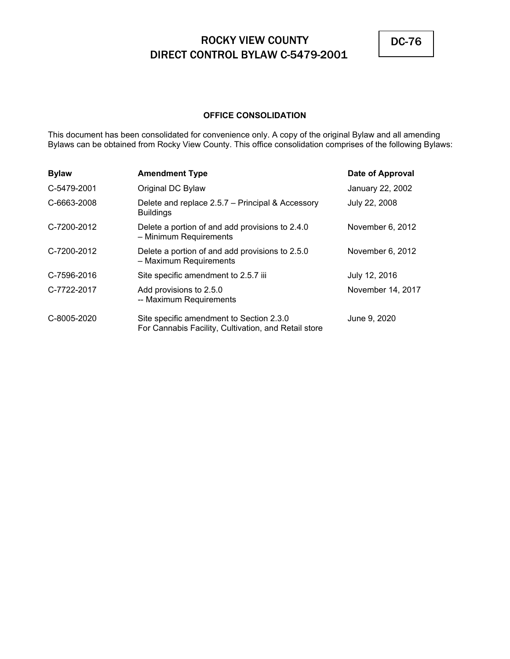

## **OFFICE CONSOLIDATION**

This document has been consolidated for convenience only. A copy of the original Bylaw and all amending Bylaws can be obtained from Rocky View County. This office consolidation comprises of the following Bylaws:

| <b>Bylaw</b> | <b>Amendment Type</b>                                                                            | Date of Approval  |
|--------------|--------------------------------------------------------------------------------------------------|-------------------|
| C-5479-2001  | Original DC Bylaw                                                                                | January 22, 2002  |
| C-6663-2008  | Delete and replace 2.5.7 - Principal & Accessory<br><b>Buildings</b>                             | July 22, 2008     |
| C-7200-2012  | Delete a portion of and add provisions to 2.4.0<br>- Minimum Requirements                        | November 6, 2012  |
| C-7200-2012  | Delete a portion of and add provisions to 2.5.0<br>- Maximum Requirements                        | November 6, 2012  |
| C-7596-2016  | Site specific amendment to 2.5.7 iii                                                             | July 12, 2016     |
| C-7722-2017  | Add provisions to 2.5.0<br>-- Maximum Requirements                                               | November 14, 2017 |
| C-8005-2020  | Site specific amendment to Section 2.3.0<br>For Cannabis Facility, Cultivation, and Retail store | June 9, 2020      |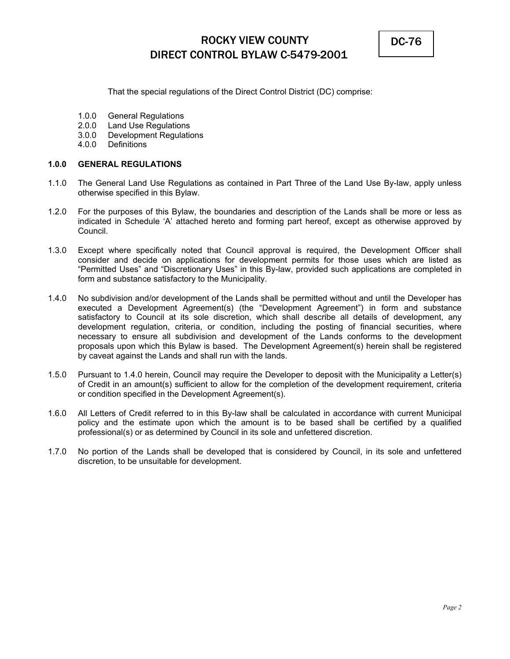

That the special regulations of the Direct Control District (DC) comprise:

- 1.0.0 General Regulations
- 2.0.0 Land Use Regulations
- 3.0.0 Development Regulations
- 4.0.0 Definitions

## **1.0.0 GENERAL REGULATIONS**

- 1.1.0 The General Land Use Regulations as contained in Part Three of the Land Use By-law, apply unless otherwise specified in this Bylaw.
- 1.2.0 For the purposes of this Bylaw, the boundaries and description of the Lands shall be more or less as indicated in Schedule 'A' attached hereto and forming part hereof, except as otherwise approved by Council.
- 1.3.0 Except where specifically noted that Council approval is required, the Development Officer shall consider and decide on applications for development permits for those uses which are listed as "Permitted Uses" and "Discretionary Uses" in this By-law, provided such applications are completed in form and substance satisfactory to the Municipality.
- 1.4.0 No subdivision and/or development of the Lands shall be permitted without and until the Developer has executed a Development Agreement(s) (the "Development Agreement") in form and substance satisfactory to Council at its sole discretion, which shall describe all details of development, any development regulation, criteria, or condition, including the posting of financial securities, where necessary to ensure all subdivision and development of the Lands conforms to the development proposals upon which this Bylaw is based. The Development Agreement(s) herein shall be registered by caveat against the Lands and shall run with the lands.
- 1.5.0 Pursuant to 1.4.0 herein, Council may require the Developer to deposit with the Municipality a Letter(s) of Credit in an amount(s) sufficient to allow for the completion of the development requirement, criteria or condition specified in the Development Agreement(s).
- 1.6.0 All Letters of Credit referred to in this By-law shall be calculated in accordance with current Municipal policy and the estimate upon which the amount is to be based shall be certified by a qualified professional(s) or as determined by Council in its sole and unfettered discretion.
- 1.7.0 No portion of the Lands shall be developed that is considered by Council, in its sole and unfettered discretion, to be unsuitable for development.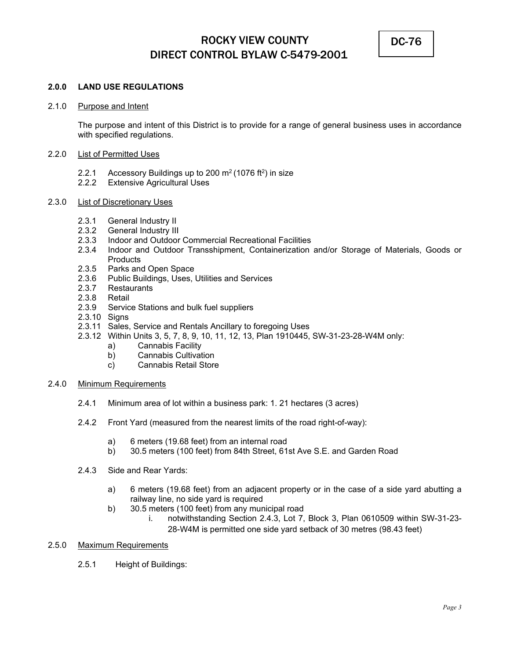

## **2.0.0 LAND USE REGULATIONS**

### 2.1.0 Purpose and Intent

 The purpose and intent of this District is to provide for a range of general business uses in accordance with specified regulations.

### 2.2.0 List of Permitted Uses

- 2.2.1 Accessory Buildings up to 200  $m<sup>2</sup>$  (1076 ft<sup>2</sup>) in size
- 2.2.2 Extensive Agricultural Uses

## 2.3.0 List of Discretionary Uses

- 2.3.1 General Industry II
- 2.3.2 General Industry III
- 2.3.3 Indoor and Outdoor Commercial Recreational Facilities
- 2.3.4 Indoor and Outdoor Transshipment, Containerization and/or Storage of Materials, Goods or **Products**
- 2.3.5 Parks and Open Space
- 2.3.6 Public Buildings, Uses, Utilities and Services
- 2.3.7 Restaurants
- 2.3.8 Retail
- 2.3.9 Service Stations and bulk fuel suppliers
- 2.3.10 Signs
- 2.3.11 Sales, Service and Rentals Ancillary to foregoing Uses
- 2.3.12 Within Units 3, 5, 7, 8, 9, 10, 11, 12, 13, Plan 1910445, SW-31-23-28-W4M only:
	- a) Cannabis Facility
	- b) Cannabis Cultivation
	- c) Cannabis Retail Store
- 2.4.0 Minimum Requirements
	- 2.4.1 Minimum area of lot within a business park: 1. 21 hectares (3 acres)
	- 2.4.2 Front Yard (measured from the nearest limits of the road right-of-way):
		- a) 6 meters (19.68 feet) from an internal road
		- b) 30.5 meters (100 feet) from 84th Street, 61st Ave S.E. and Garden Road
	- 2.4.3 Side and Rear Yards:
		- a) 6 meters (19.68 feet) from an adjacent property or in the case of a side yard abutting a railway line, no side yard is required
		- b) 30.5 meters (100 feet) from any municipal road
			- i. notwithstanding Section 2.4.3, Lot 7, Block 3, Plan 0610509 within SW-31-23- 28-W4M is permitted one side yard setback of 30 metres (98.43 feet)
- 2.5.0 Maximum Requirements
	- 2.5.1 Height of Buildings: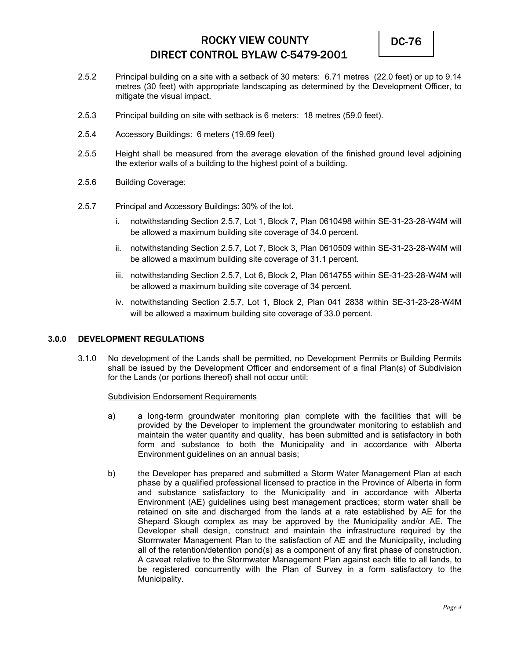

- 2.5.2 Principal building on a site with a setback of 30 meters: 6.71 metres (22.0 feet) or up to 9.14 metres (30 feet) with appropriate landscaping as determined by the Development Officer, to mitigate the visual impact.
- 2.5.3 Principal building on site with setback is 6 meters: 18 metres (59.0 feet).
- 2.5.4 Accessory Buildings: 6 meters (19.69 feet)
- 2.5.5 Height shall be measured from the average elevation of the finished ground level adjoining the exterior walls of a building to the highest point of a building.
- 2.5.6 Building Coverage:
- 2.5.7 Principal and Accessory Buildings: 30% of the lot.
	- i. notwithstanding Section 2.5.7, Lot 1, Block 7, Plan 0610498 within SE-31-23-28-W4M will be allowed a maximum building site coverage of 34.0 percent.
	- ii. notwithstanding Section 2.5.7, Lot 7, Block 3, Plan 0610509 within SE-31-23-28-W4M will be allowed a maximum building site coverage of 31.1 percent.
	- iii. notwithstanding Section 2.5.7, Lot 6, Block 2, Plan 0614755 within SE-31-23-28-W4M will be allowed a maximum building site coverage of 34 percent.
	- iv. notwithstanding Section 2.5.7, Lot 1, Block 2, Plan 041 2838 within SE-31-23-28-W4M will be allowed a maximum building site coverage of 33.0 percent.

### **3.0.0 DEVELOPMENT REGULATIONS**

3.1.0 No development of the Lands shall be permitted, no Development Permits or Building Permits shall be issued by the Development Officer and endorsement of a final Plan(s) of Subdivision for the Lands (or portions thereof) shall not occur until:

#### Subdivision Endorsement Requirements

- a) a long-term groundwater monitoring plan complete with the facilities that will be provided by the Developer to implement the groundwater monitoring to establish and maintain the water quantity and quality, has been submitted and is satisfactory in both form and substance to both the Municipality and in accordance with Alberta Environment guidelines on an annual basis;
- b) the Developer has prepared and submitted a Storm Water Management Plan at each phase by a qualified professional licensed to practice in the Province of Alberta in form and substance satisfactory to the Municipality and in accordance with Alberta Environment (AE) guidelines using best management practices; storm water shall be retained on site and discharged from the lands at a rate established by AE for the Shepard Slough complex as may be approved by the Municipality and/or AE. The Developer shall design, construct and maintain the infrastructure required by the Stormwater Management Plan to the satisfaction of AE and the Municipality, including all of the retention/detention pond(s) as a component of any first phase of construction. A caveat relative to the Stormwater Management Plan against each title to all lands, to be registered concurrently with the Plan of Survey in a form satisfactory to the Municipality.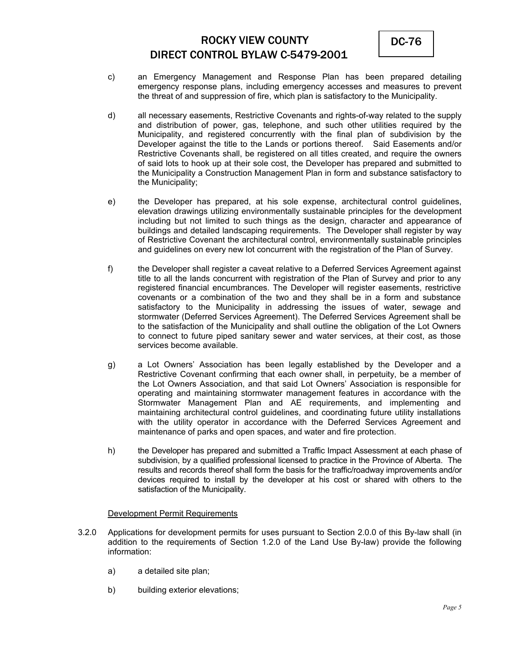

- c) an Emergency Management and Response Plan has been prepared detailing emergency response plans, including emergency accesses and measures to prevent the threat of and suppression of fire, which plan is satisfactory to the Municipality.
- d) all necessary easements, Restrictive Covenants and rights-of-way related to the supply and distribution of power, gas, telephone, and such other utilities required by the Municipality, and registered concurrently with the final plan of subdivision by the Developer against the title to the Lands or portions thereof. Said Easements and/or Restrictive Covenants shall, be registered on all titles created, and require the owners of said lots to hook up at their sole cost, the Developer has prepared and submitted to the Municipality a Construction Management Plan in form and substance satisfactory to the Municipality;
- e) the Developer has prepared, at his sole expense, architectural control guidelines, elevation drawings utilizing environmentally sustainable principles for the development including but not limited to such things as the design, character and appearance of buildings and detailed landscaping requirements. The Developer shall register by way of Restrictive Covenant the architectural control, environmentally sustainable principles and guidelines on every new lot concurrent with the registration of the Plan of Survey.
- f) the Developer shall register a caveat relative to a Deferred Services Agreement against title to all the lands concurrent with registration of the Plan of Survey and prior to any registered financial encumbrances. The Developer will register easements, restrictive covenants or a combination of the two and they shall be in a form and substance satisfactory to the Municipality in addressing the issues of water, sewage and stormwater (Deferred Services Agreement). The Deferred Services Agreement shall be to the satisfaction of the Municipality and shall outline the obligation of the Lot Owners to connect to future piped sanitary sewer and water services, at their cost, as those services become available.
- g) a Lot Owners' Association has been legally established by the Developer and a Restrictive Covenant confirming that each owner shall, in perpetuity, be a member of the Lot Owners Association, and that said Lot Owners' Association is responsible for operating and maintaining stormwater management features in accordance with the Stormwater Management Plan and AE requirements, and implementing and maintaining architectural control guidelines, and coordinating future utility installations with the utility operator in accordance with the Deferred Services Agreement and maintenance of parks and open spaces, and water and fire protection.
- h) the Developer has prepared and submitted a Traffic Impact Assessment at each phase of subdivision, by a qualified professional licensed to practice in the Province of Alberta. The results and records thereof shall form the basis for the traffic/roadway improvements and/or devices required to install by the developer at his cost or shared with others to the satisfaction of the Municipality.

### Development Permit Requirements

- 3.2.0 Applications for development permits for uses pursuant to Section 2.0.0 of this By-law shall (in addition to the requirements of Section 1.2.0 of the Land Use By-law) provide the following information:
	- a) a detailed site plan;
	- b) building exterior elevations;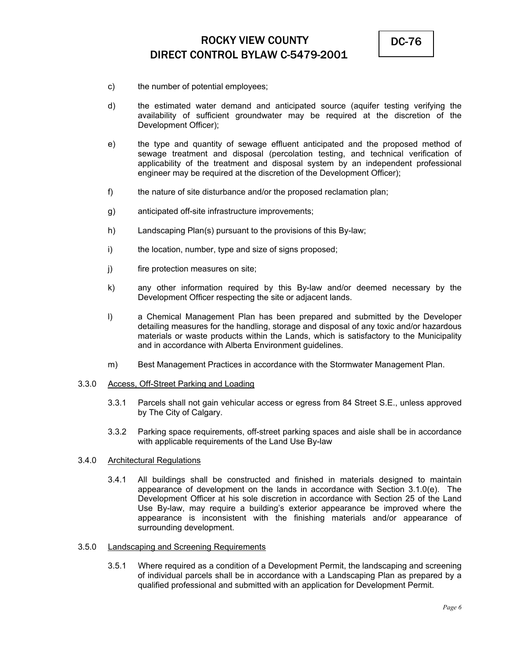

- c) the number of potential employees;
- d) the estimated water demand and anticipated source (aquifer testing verifying the availability of sufficient groundwater may be required at the discretion of the Development Officer);
- e) the type and quantity of sewage effluent anticipated and the proposed method of sewage treatment and disposal (percolation testing, and technical verification of applicability of the treatment and disposal system by an independent professional engineer may be required at the discretion of the Development Officer);
- f) the nature of site disturbance and/or the proposed reclamation plan;
- g) anticipated off-site infrastructure improvements;
- h) Landscaping Plan(s) pursuant to the provisions of this By-law;
- i) the location, number, type and size of signs proposed;
- j) fire protection measures on site;
- k) any other information required by this By-law and/or deemed necessary by the Development Officer respecting the site or adjacent lands.
- l) a Chemical Management Plan has been prepared and submitted by the Developer detailing measures for the handling, storage and disposal of any toxic and/or hazardous materials or waste products within the Lands, which is satisfactory to the Municipality and in accordance with Alberta Environment guidelines.
- m) Best Management Practices in accordance with the Stormwater Management Plan.

#### 3.3.0 Access, Off-Street Parking and Loading

- 3.3.1 Parcels shall not gain vehicular access or egress from 84 Street S.E., unless approved by The City of Calgary.
- 3.3.2 Parking space requirements, off-street parking spaces and aisle shall be in accordance with applicable requirements of the Land Use By-law

### 3.4.0 Architectural Regulations

3.4.1 All buildings shall be constructed and finished in materials designed to maintain appearance of development on the lands in accordance with Section 3.1.0(e). The Development Officer at his sole discretion in accordance with Section 25 of the Land Use By-law, may require a building's exterior appearance be improved where the appearance is inconsistent with the finishing materials and/or appearance of surrounding development.

### 3.5.0 Landscaping and Screening Requirements

3.5.1 Where required as a condition of a Development Permit, the landscaping and screening of individual parcels shall be in accordance with a Landscaping Plan as prepared by a qualified professional and submitted with an application for Development Permit.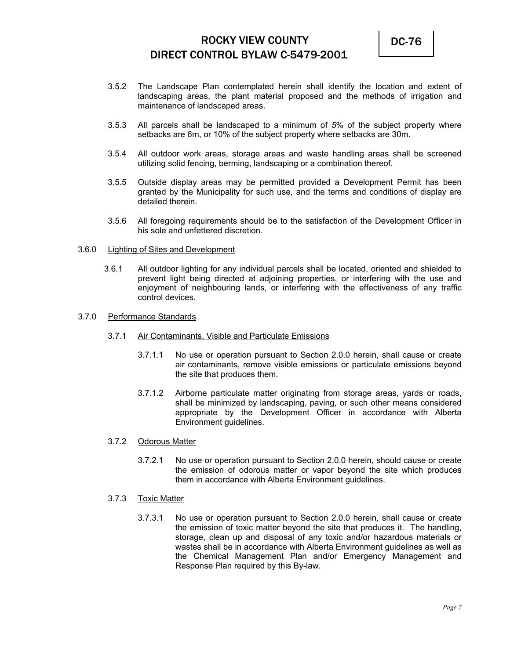

- 3.5.2 The Landscape Plan contemplated herein shall identify the location and extent of landscaping areas, the plant material proposed and the methods of irrigation and maintenance of landscaped areas.
- 3.5.3 All parcels shall be landscaped to a minimum of *5*% of the subject property where setbacks are 6m, or 10% of the subject property where setbacks are 30m.
- 3.5.4 All outdoor work areas, storage areas and waste handling areas shall be screened utilizing solid fencing, berming, landscaping or a combination thereof.
- 3.5.5 Outside display areas may be permitted provided a Development Permit has been granted by the Municipality for such use, and the terms and conditions of display are detailed therein.
- 3.5.6 All foregoing requirements should be to the satisfaction of the Development Officer in his sole and unfettered discretion.

#### 3.6.0 Lighting of Sites and Development

 3.6.1 All outdoor lighting for any individual parcels shall be located, oriented and shielded to prevent light being directed at adjoining properties, or interfering with the use and enjoyment of neighbouring lands, or interfering with the effectiveness of any traffic control devices.

#### 3.7.0 Performance Standards

- 3.7.1 Air Contaminants, Visible and Particulate Emissions
	- 3.7.1.1 No use or operation pursuant to Section 2.0.0 herein, shall cause or create air contaminants, remove visible emissions or particulate emissions beyond the site that produces them.
	- 3.7.1.2 Airborne particulate matter originating from storage areas, yards or roads, shall be minimized by landscaping, paving, or such other means considered appropriate by the Development Officer in accordance with Alberta Environment guidelines.

#### 3.7.2 Odorous Matter

3.7.2.1 No use or operation pursuant to Section 2.0.0 herein, should cause or create the emission of odorous matter or vapor beyond the site which produces them in accordance with Alberta Environment guidelines.

#### 3.7.3 Toxic Matter

3.7.3.1 No use or operation pursuant to Section 2.0.0 herein, shall cause or create the emission of toxic matter beyond the site that produces it. The handling, storage, clean up and disposal of any toxic and/or hazardous materials or wastes shall be in accordance with Alberta Environment guidelines as well as the Chemical Management Plan and/or Emergency Management and Response Plan required by this By-law.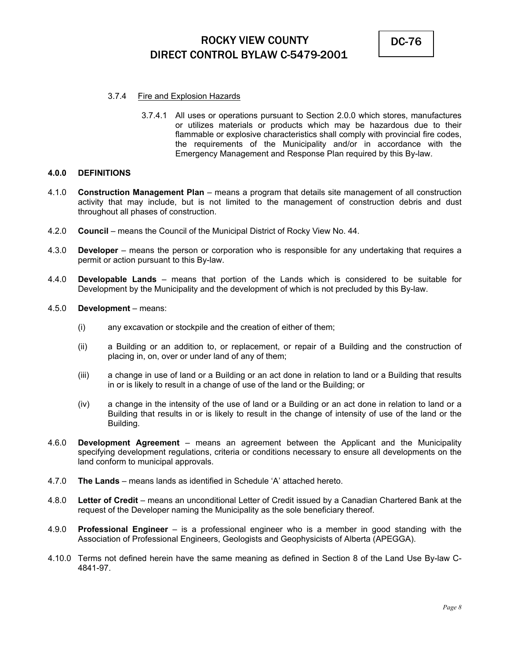

### 3.7.4 Fire and Explosion Hazards

3.7.4.1 All uses or operations pursuant to Section 2.0.0 which stores, manufactures or utilizes materials or products which may be hazardous due to their flammable or explosive characteristics shall comply with provincial fire codes, the requirements of the Municipality and/or in accordance with the Emergency Management and Response Plan required by this By-law.

### **4.0.0 DEFINITIONS**

- 4.1.0 **Construction Management Plan** means a program that details site management of all construction activity that may include, but is not limited to the management of construction debris and dust throughout all phases of construction.
- 4.2.0 **Council** means the Council of the Municipal District of Rocky View No. 44.
- 4.3.0 **Developer** means the person or corporation who is responsible for any undertaking that requires a permit or action pursuant to this By-law.
- 4.4.0 **Developable Lands** means that portion of the Lands which is considered to be suitable for Development by the Municipality and the development of which is not precluded by this By-law.
- 4.5.0 **Development** means:
	- (i) any excavation or stockpile and the creation of either of them;
	- (ii) a Building or an addition to, or replacement, or repair of a Building and the construction of placing in, on, over or under land of any of them;
	- (iii) a change in use of land or a Building or an act done in relation to land or a Building that results in or is likely to result in a change of use of the land or the Building; or
	- (iv) a change in the intensity of the use of land or a Building or an act done in relation to land or a Building that results in or is likely to result in the change of intensity of use of the land or the Building.
- 4.6.0 **Development Agreement** means an agreement between the Applicant and the Municipality specifying development regulations, criteria or conditions necessary to ensure all developments on the land conform to municipal approvals.
- 4.7.0 **The Lands** means lands as identified in Schedule 'A' attached hereto.
- 4.8.0 **Letter of Credit** means an unconditional Letter of Credit issued by a Canadian Chartered Bank at the request of the Developer naming the Municipality as the sole beneficiary thereof.
- 4.9.0 **Professional Engineer** is a professional engineer who is a member in good standing with the Association of Professional Engineers, Geologists and Geophysicists of Alberta (APEGGA).
- 4.10.0 Terms not defined herein have the same meaning as defined in Section 8 of the Land Use By-law C-4841-97.